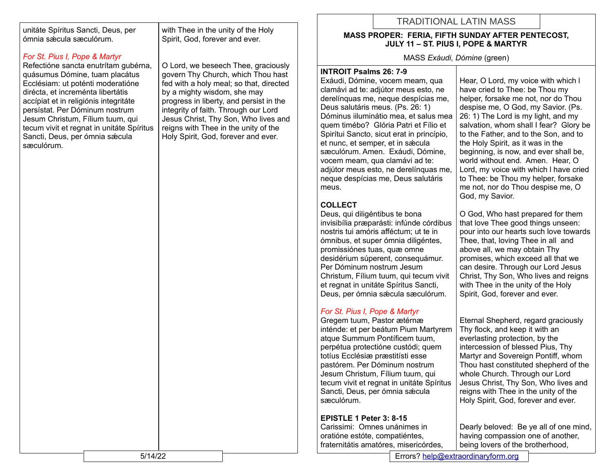unitáte Spíritus Sancti, Deus, per ómnia sǽcula sæculórum.

## *For St. Pius I, Pope & Martyr*

Refectióne sancta enutrítam gubérna, quásumus Dómine, tuam placátus Ecclésiam: ut poténti moderatióne dirécta, et increménta libertátis accípiat et in religiónis integritáte persístat. Per Dóminum nostrum Jesum Christum, Fílium tuum, qui tecum vivit et regnat in unitáte Spíritus Sancti, Deus, per ómnia sæcula sæculórum.

with Thee in the unity of the Holy Spirit, God, forever and ever.

O Lord, we beseech Thee, graciously govern Thy Church, which Thou hast fed with a holy meal; so that, directed by a mighty wisdom, she may progress in liberty, and persist in the integrity of faith. Through our Lord Jesus Christ, Thy Son, Who lives and reigns with Thee in the unity of the Holy Spirit, God, forever and ever.

# TRADITIONAL LATIN MASS

#### **MASS PROPER: FERIA, FIFTH SUNDAY AFTER PENTECOST, JULY 11 – ST. PIUS I, POPE & MARTYR**

MASS *Exáudi, Dómine* (green)

### **INTROIT Psalms 26: 7-9**

Exáudi, Dómine, vocem meam, qua clamávi ad te: adjútor meus esto, ne derelínquas me, neque despícias me, Deus salutáris meus. (Ps. 26: 1) Dóminus iiluminátio mea, et salus mea quem timébo? Glória Patri et Fílio et Spirítui Sancto, sicut erat in princípio, et nunc, et semper, et in sæcula sæculórum. Amen. Exáudi, Dómine, vocem meam, qua clamávi ad te: adjútor meus esto, ne derelínquas me, neque despícias me, Deus salutáris meus.

## **COLLECT**

Deus, qui diligéntibus te bona invisibília præparásti: infúnde córdibus nostris tui amóris afféctum; ut te in ómnibus, et super ómnia diligéntes, promissiónes tuas, quæ omne desidérium súperent, consequámur. Per Dóminum nostrum Jesum Christum, Fílium tuum, qui tecum vivit et regnat in unitáte Spíritus Sancti, Deus, per ómnia sǽcula sæculórum.

## *For St. Pius I, Pope & Martyr*

Gregem tuum, Pastor ætérnæ inténde: et per beátum Pium Martyrem atque Summum Pontíficem tuum, perpétua protectióne custódi; quem totíus Ecclésiæ præstitísti esse pastórem. Per Dóminum nostrum Jesum Christum, Fílium tuum, qui tecum vivit et regnat in unitáte Spíritus Sancti, Deus, per ómnia sæcula sæculórum.

## **EPISTLE 1 Peter 3: 8-15**

Carissimi: Omnes unánimes in oratióne estóte, compatiéntes, fraternitátis amatóres, misericórdes, Hear, O Lord, my voice with which l have cried to Thee: be Thou my helper, forsake me not, nor do Thou despise me, O God, my Savior. (Ps. 26: 1) The Lord is my light, and my salvation, whom shall I fear? Glory be to the Father, and to the Son, and to the Holy Spirit, as it was in the beginning, is now, and ever shall be, world without end. Amen. Hear, O Lord, my voice with which l have cried to Thee: be Thou my helper, forsake me not, nor do Thou despise me, O God, my Savior.

O God, Who hast prepared for them that love Thee good things unseen: pour into our hearts such love towards Thee, that, loving Thee in all and above all, we may obtain Thy promises, which exceed all that we can desire. Through our Lord Jesus Christ, Thy Son, Who lives and reigns with Thee in the unity of the Holy Spirit, God, forever and ever.

Eternal Shepherd, regard graciously Thy flock, and keep it with an everlasting protection, by the intercession of blessed Pius, Thy Martyr and Sovereign Pontiff, whom Thou hast constituted shepherd of the whole Church. Through our Lord Jesus Christ, Thy Son, Who lives and reigns with Thee in the unity of the Holy Spirit, God, forever and ever.

Dearly beloved: Be ye all of one mind, having compassion one of another, being lovers of the brotherhood,